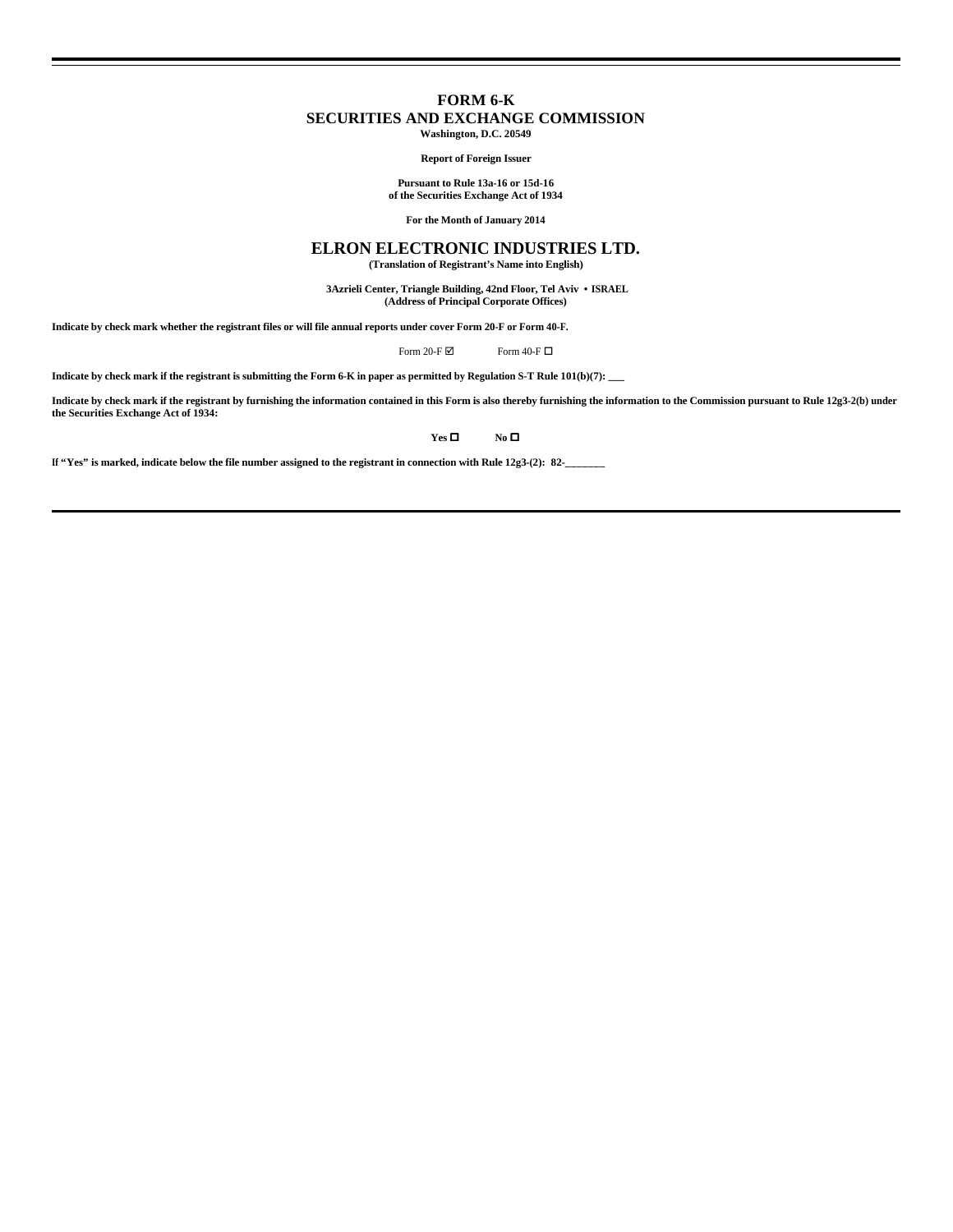## **FORM 6-K**

### **SECURITIES AND EXCHANGE COMMISSION**

**Washington, D.C. 20549**

#### **Report of Foreign Issuer**

**Pursuant to Rule 13a-16 or 15d-16 of the Securities Exchange Act of 1934**

**For the Month of January 2014**

# **ELRON ELECTRONIC INDUSTRIES LTD.**

**(Translation of Registrant's Name into English)**

 **3Azrieli Center, Triangle Building, 42nd Floor, Tel Aviv • ISRAEL (Address of Principal Corporate Offices)**

**Indicate by check mark whether the registrant files or will file annual reports under cover Form 20-F or Form 40-F.**

Form 20-F  $\boxtimes$  Form 40-F  $\Box$ 

**Indicate by check mark if the registrant is submitting the Form 6-K in paper as permitted by Regulation S-T Rule 101(b)(7): \_\_\_**

Indicate by check mark if the registrant by furnishing the information contained in this Form is also thereby furnishing the information to the Commission pursuant to Rule 12g3-2(b) under<br>the Securities Exchange Act of 193

**Yes □ No □** 

**If "Yes" is marked, indicate below the file number assigned to the registrant in connection with Rule 12g3-(2): 82-\_\_\_\_\_\_\_**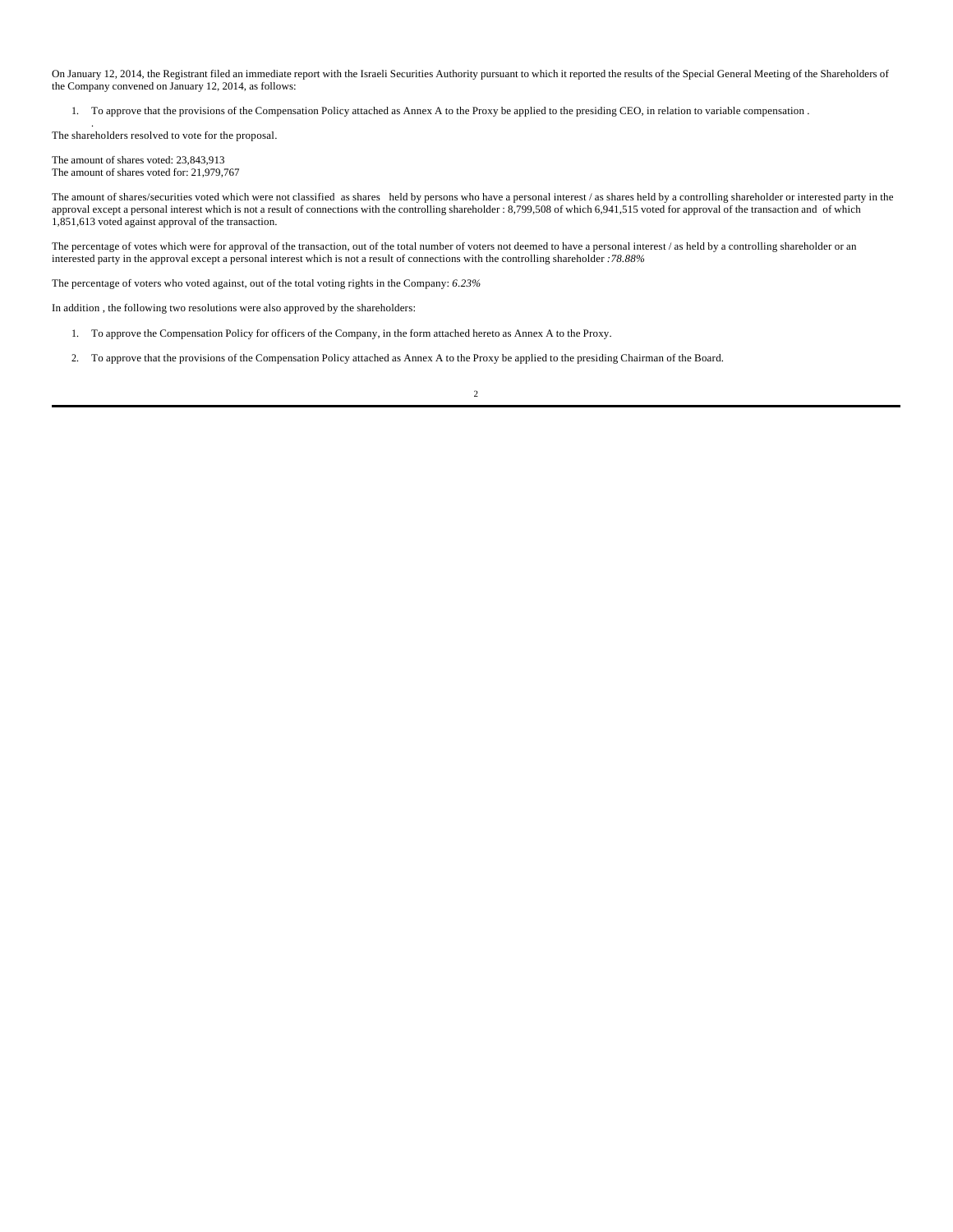On January 12, 2014, the Registrant filed an immediate report with the Israeli Securities Authority pursuant to which it reported the results of the Special General Meeting of the Shareholders of the Company convened on January 12, 2014, as follows:

1. To approve that the provisions of the Compensation Policy attached as Annex A to the Proxy be applied to the presiding CEO, in relation to variable compensation .

. The shareholders resolved to vote for the proposal.

The amount of shares voted: 23,843,913 The amount of shares voted for: 21,979,767

The amount of shares/securities voted which were not classified as shares held by persons who have a personal interest / as shares held by a controlling shareholder or interested party in the approval except a personal interest which is not a result of connections with the controlling shareholder : 8,799,508 of which 6,941,515 voted for approval of the transaction and of which 1,851,613 voted against approval of the transaction.

The percentage of votes which were for approval of the transaction, out of the total number of voters not deemed to have a personal interest / as held by a controlling shareholder or an interested party in the approval except a personal interest which is not a result of connections with the controlling shareholder *:78.88%*

The percentage of voters who voted against, out of the total voting rights in the Company: *6.23%*

In addition , the following two resolutions were also approved by the shareholders:

- 1. To approve the Compensation Policy for officers of the Company, in the form attached hereto as Annex A to the Proxy.
- 2. To approve that the provisions of the Compensation Policy attached as Annex A to the Proxy be applied to the presiding Chairman of the Board.

2